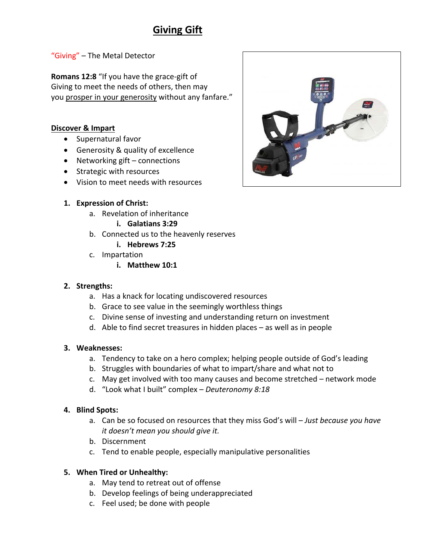# **Giving Gift**

"Giving" – The Metal Detector

**Romans 12:8** "If you have the grace-gift of Giving to meet the needs of others, then may you prosper in your generosity without any fanfare."

## **Discover & Impart**

- Supernatural favor
- Generosity & quality of excellence
- Networking gift connections
- Strategic with resources
- Vision to meet needs with resources
- **1. Expression of Christ:**
	- a. Revelation of inheritance
		- **i. Galatians 3:29**
	- b. Connected us to the heavenly reserves **i. Hebrews 7:25**
	- c. Impartation
		- **i. Matthew 10:1**

#### **2. Strengths:**

- a. Has a knack for locating undiscovered resources
- b. Grace to see value in the seemingly worthless things
- c. Divine sense of investing and understanding return on investment
- d. Able to find secret treasures in hidden places as well as in people

#### **3. Weaknesses:**

- a. Tendency to take on a hero complex; helping people outside of God's leading
- b. Struggles with boundaries of what to impart/share and what not to
- c. May get involved with too many causes and become stretched network mode
- d. "Look what I built" complex *Deuteronomy 8:18*

#### **4. Blind Spots:**

- a. Can be so focused on resources that they miss God's will *Just because you have it doesn't mean you should give it.*
- b. Discernment
- c. Tend to enable people, especially manipulative personalities

# **5. When Tired or Unhealthy:**

- a. May tend to retreat out of offense
- b. Develop feelings of being underappreciated
- c. Feel used; be done with people